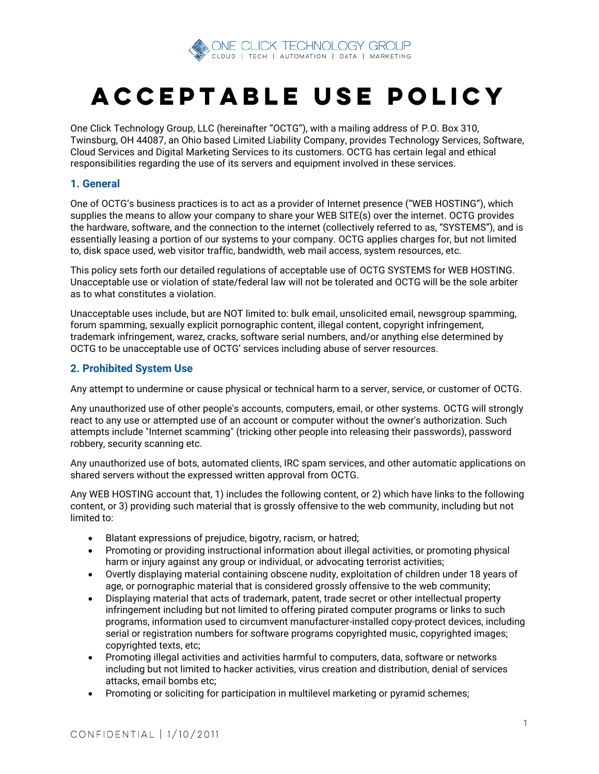

# ACCEPTABLE USE POLICY

One Click Technology Group, LLC (hereinafter "OCTG"), with a mailing address of P.O. Box 310, Twinsburg, OH 44087, an Ohio based Limited Liability Company, provides Technology Services, Software, Cloud Services and Digital Marketing Services to its customers. OCTG has certain legal and ethical responsibilities regarding the use of its servers and equipment involved in these services.

## **1. General**

One of OCTG's business practices is to act as a provider of Internet presence ("WEB HOSTING"), which supplies the means to allow your company to share your WEB SITE(s) over the internet. OCTG provides the hardware, software, and the connection to the internet (collectively referred to as, "SYSTEMS"), and is essentially leasing a portion of our systems to your company. OCTG applies charges for, but not limited to, disk space used, web visitor traffic, bandwidth, web mail access, system resources, etc.

This policy sets forth our detailed regulations of acceptable use of OCTG SYSTEMS for WEB HOSTING. Unacceptable use or violation of state/federal law will not be tolerated and OCTG will be the sole arbiter as to what constitutes a violation.

Unacceptable uses include, but are NOT limited to: bulk email, unsolicited email, newsgroup spamming, forum spamming, sexually explicit pornographic content, illegal content, copyright infringement, trademark infringement, warez, cracks, software serial numbers, and/or anything else determined by OCTG to be unacceptable use of OCTG' services including abuse of server resources.

## **2. Prohibited System Use**

Any attempt to undermine or cause physical or technical harm to a server, service, or customer of OCTG.

Any unauthorized use of other people's accounts, computers, email, or other systems. OCTG will strongly react to any use or attempted use of an account or computer without the owner's authorization. Such attempts include "Internet scamming" (tricking other people into releasing their passwords), password robbery, security scanning etc.

Any unauthorized use of bots, automated clients, IRC spam services, and other automatic applications on shared servers without the expressed written approval from OCTG.

Any WEB HOSTING account that, 1) includes the following content, or 2) which have links to the following content, or 3) providing such material that is grossly offensive to the web community, including but not limited to:

- Blatant expressions of prejudice, bigotry, racism, or hatred;
- Promoting or providing instructional information about illegal activities, or promoting physical harm or injury against any group or individual, or advocating terrorist activities;
- Overtly displaying material containing obscene nudity, exploitation of children under 18 years of age, or pornographic material that is considered grossly offensive to the web community;
- Displaying material that acts of trademark, patent, trade secret or other intellectual property infringement including but not limited to offering pirated computer programs or links to such programs, information used to circumvent manufacturer-installed copy-protect devices, including serial or registration numbers for software programs copyrighted music, copyrighted images; copyrighted texts, etc;
- Promoting illegal activities and activities harmful to computers, data, software or networks including but not limited to hacker activities, virus creation and distribution, denial of services attacks, email bombs etc;
- Promoting or soliciting for participation in multilevel marketing or pyramid schemes;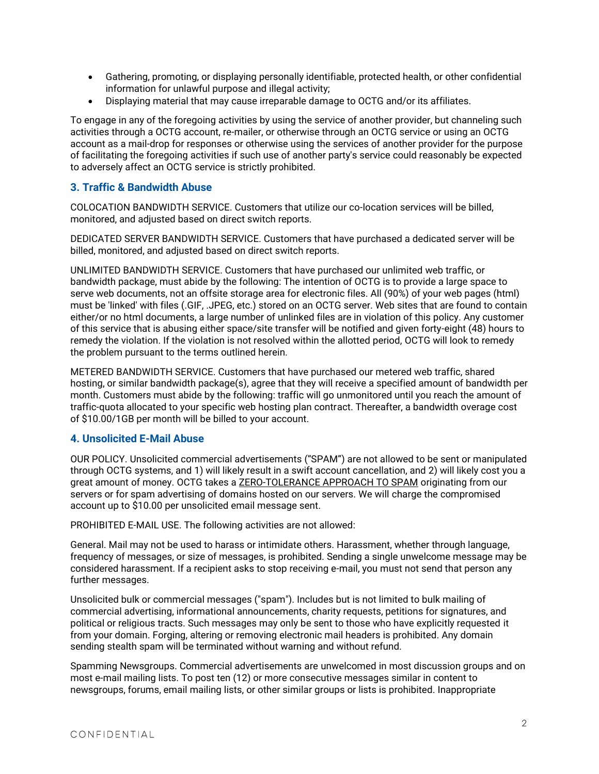- Gathering, promoting, or displaying personally identifiable, protected health, or other confidential information for unlawful purpose and illegal activity;
- Displaying material that may cause irreparable damage to OCTG and/or its affiliates.

To engage in any of the foregoing activities by using the service of another provider, but channeling such activities through a OCTG account, re-mailer, or otherwise through an OCTG service or using an OCTG account as a mail-drop for responses or otherwise using the services of another provider for the purpose of facilitating the foregoing activities if such use of another party's service could reasonably be expected to adversely affect an OCTG service is strictly prohibited.

# **3. Traffic & Bandwidth Abuse**

COLOCATION BANDWIDTH SERVICE. Customers that utilize our co-location services will be billed, monitored, and adjusted based on direct switch reports.

DEDICATED SERVER BANDWIDTH SERVICE. Customers that have purchased a dedicated server will be billed, monitored, and adjusted based on direct switch reports.

UNLIMITED BANDWIDTH SERVICE. Customers that have purchased our unlimited web traffic, or bandwidth package, must abide by the following: The intention of OCTG is to provide a large space to serve web documents, not an offsite storage area for electronic files. All (90%) of your web pages (html) must be 'linked' with files (.GIF, .JPEG, etc.) stored on an OCTG server. Web sites that are found to contain either/or no html documents, a large number of unlinked files are in violation of this policy. Any customer of this service that is abusing either space/site transfer will be notified and given forty-eight (48) hours to remedy the violation. If the violation is not resolved within the allotted period, OCTG will look to remedy the problem pursuant to the terms outlined herein.

METERED BANDWIDTH SERVICE. Customers that have purchased our metered web traffic, shared hosting, or similar bandwidth package(s), agree that they will receive a specified amount of bandwidth per month. Customers must abide by the following: traffic will go unmonitored until you reach the amount of traffic-quota allocated to your specific web hosting plan contract. Thereafter, a bandwidth overage cost of \$10.00/1GB per month will be billed to your account.

## **4. Unsolicited E-Mail Abuse**

OUR POLICY. Unsolicited commercial advertisements ("SPAM") are not allowed to be sent or manipulated through OCTG systems, and 1) will likely result in a swift account cancellation, and 2) will likely cost you a great amount of money. OCTG takes a ZERO-TOLERANCE APPROACH TO SPAM originating from our servers or for spam advertising of domains hosted on our servers. We will charge the compromised account up to \$10.00 per unsolicited email message sent.

PROHIBITED E-MAIL USE. The following activities are not allowed:

General. Mail may not be used to harass or intimidate others. Harassment, whether through language, frequency of messages, or size of messages, is prohibited. Sending a single unwelcome message may be considered harassment. If a recipient asks to stop receiving e-mail, you must not send that person any further messages.

Unsolicited bulk or commercial messages ("spam"). Includes but is not limited to bulk mailing of commercial advertising, informational announcements, charity requests, petitions for signatures, and political or religious tracts. Such messages may only be sent to those who have explicitly requested it from your domain. Forging, altering or removing electronic mail headers is prohibited. Any domain sending stealth spam will be terminated without warning and without refund.

Spamming Newsgroups. Commercial advertisements are unwelcomed in most discussion groups and on most e-mail mailing lists. To post ten (12) or more consecutive messages similar in content to newsgroups, forums, email mailing lists, or other similar groups or lists is prohibited. Inappropriate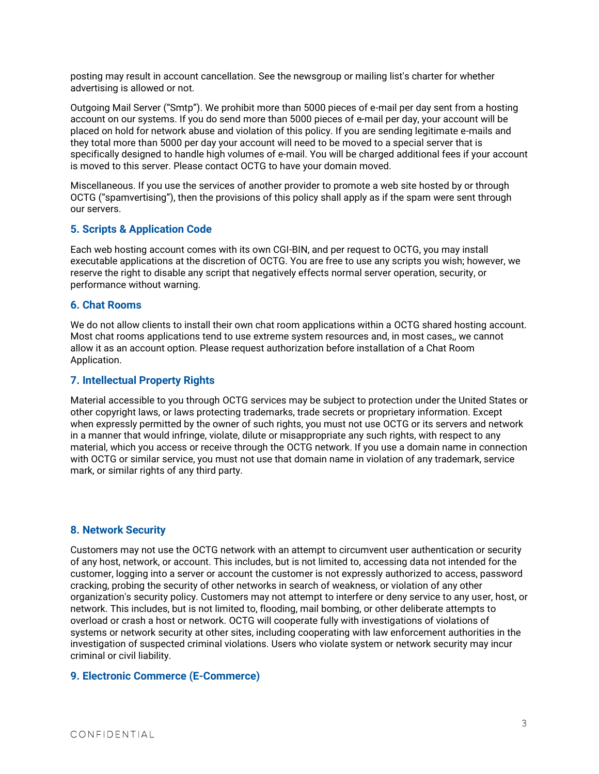posting may result in account cancellation. See the newsgroup or mailing list's charter for whether advertising is allowed or not.

Outgoing Mail Server ("Smtp"). We prohibit more than 5000 pieces of e-mail per day sent from a hosting account on our systems. If you do send more than 5000 pieces of e-mail per day, your account will be placed on hold for network abuse and violation of this policy. If you are sending legitimate e-mails and they total more than 5000 per day your account will need to be moved to a special server that is specifically designed to handle high volumes of e-mail. You will be charged additional fees if your account is moved to this server. Please contact OCTG to have your domain moved.

Miscellaneous. If you use the services of another provider to promote a web site hosted by or through OCTG ("spamvertising"), then the provisions of this policy shall apply as if the spam were sent through our servers.

## **5. Scripts & Application Code**

Each web hosting account comes with its own CGI-BIN, and per request to OCTG, you may install executable applications at the discretion of OCTG. You are free to use any scripts you wish; however, we reserve the right to disable any script that negatively effects normal server operation, security, or performance without warning.

#### **6. Chat Rooms**

We do not allow clients to install their own chat room applications within a OCTG shared hosting account. Most chat rooms applications tend to use extreme system resources and, in most cases,, we cannot allow it as an account option. Please request authorization before installation of a Chat Room Application.

#### **7. Intellectual Property Rights**

Material accessible to you through OCTG services may be subject to protection under the United States or other copyright laws, or laws protecting trademarks, trade secrets or proprietary information. Except when expressly permitted by the owner of such rights, you must not use OCTG or its servers and network in a manner that would infringe, violate, dilute or misappropriate any such rights, with respect to any material, which you access or receive through the OCTG network. If you use a domain name in connection with OCTG or similar service, you must not use that domain name in violation of any trademark, service mark, or similar rights of any third party.

## **8. Network Security**

Customers may not use the OCTG network with an attempt to circumvent user authentication or security of any host, network, or account. This includes, but is not limited to, accessing data not intended for the customer, logging into a server or account the customer is not expressly authorized to access, password cracking, probing the security of other networks in search of weakness, or violation of any other organization's security policy. Customers may not attempt to interfere or deny service to any user, host, or network. This includes, but is not limited to, flooding, mail bombing, or other deliberate attempts to overload or crash a host or network. OCTG will cooperate fully with investigations of violations of systems or network security at other sites, including cooperating with law enforcement authorities in the investigation of suspected criminal violations. Users who violate system or network security may incur criminal or civil liability.

## **9. Electronic Commerce (E-Commerce)**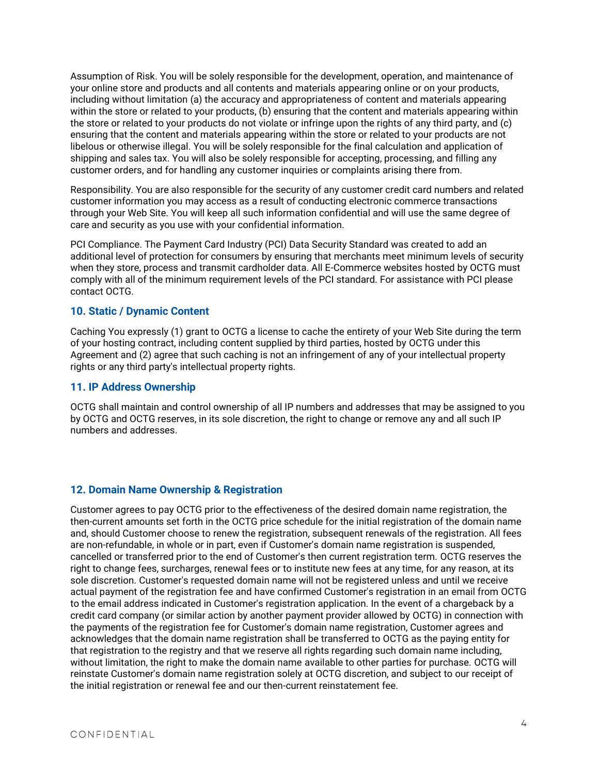Assumption of Risk. You will be solely responsible for the development, operation, and maintenance of your online store and products and all contents and materials appearing online or on your products, including without limitation (a) the accuracy and appropriateness of content and materials appearing within the store or related to your products, (b) ensuring that the content and materials appearing within the store or related to your products do not violate or infringe upon the rights of any third party, and (c) ensuring that the content and materials appearing within the store or related to your products are not libelous or otherwise illegal. You will be solely responsible for the final calculation and application of shipping and sales tax. You will also be solely responsible for accepting, processing, and filling any customer orders, and for handling any customer inquiries or complaints arising there from.

Responsibility. You are also responsible for the security of any customer credit card numbers and related customer information you may access as a result of conducting electronic commerce transactions through your Web Site. You will keep all such information confidential and will use the same degree of care and security as you use with your confidential information.

PCI Compliance. The Payment Card Industry (PCI) Data Security Standard was created to add an additional level of protection for consumers by ensuring that merchants meet minimum levels of security when they store, process and transmit cardholder data. All E-Commerce websites hosted by OCTG must comply with all of the minimum requirement levels of the PCI standard. For assistance with PCI please contact OCTG.

# **10. Static / Dynamic Content**

Caching You expressly (1) grant to OCTG a license to cache the entirety of your Web Site during the term of your hosting contract, including content supplied by third parties, hosted by OCTG under this Agreement and (2) agree that such caching is not an infringement of any of your intellectual property rights or any third party's intellectual property rights.

#### **11. IP Address Ownership**

OCTG shall maintain and control ownership of all IP numbers and addresses that may be assigned to you by OCTG and OCTG reserves, in its sole discretion, the right to change or remove any and all such IP numbers and addresses.

## **12. Domain Name Ownership & Registration**

Customer agrees to pay OCTG prior to the effectiveness of the desired domain name registration, the then-current amounts set forth in the OCTG price schedule for the initial registration of the domain name and, should Customer choose to renew the registration, subsequent renewals of the registration. All fees are non-refundable, in whole or in part, even if Customer's domain name registration is suspended, cancelled or transferred prior to the end of Customer's then current registration term. OCTG reserves the right to change fees, surcharges, renewal fees or to institute new fees at any time, for any reason, at its sole discretion. Customer's requested domain name will not be registered unless and until we receive actual payment of the registration fee and have confirmed Customer's registration in an email from OCTG to the email address indicated in Customer's registration application. In the event of a chargeback by a credit card company (or similar action by another payment provider allowed by OCTG) in connection with the payments of the registration fee for Customer's domain name registration, Customer agrees and acknowledges that the domain name registration shall be transferred to OCTG as the paying entity for that registration to the registry and that we reserve all rights regarding such domain name including, without limitation, the right to make the domain name available to other parties for purchase. OCTG will reinstate Customer's domain name registration solely at OCTG discretion, and subject to our receipt of the initial registration or renewal fee and our then-current reinstatement fee.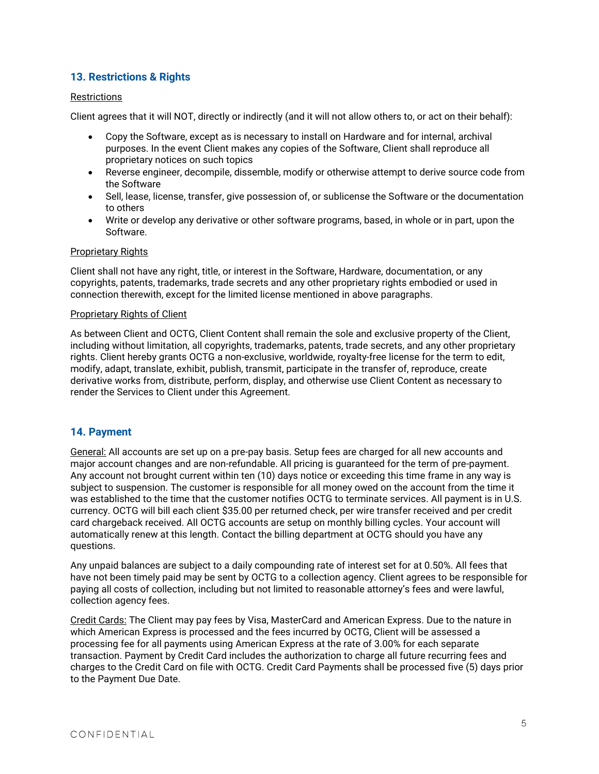# **13. Restrictions & Rights**

#### **Restrictions**

Client agrees that it will NOT, directly or indirectly (and it will not allow others to, or act on their behalf):

- Copy the Software, except as is necessary to install on Hardware and for internal, archival purposes. In the event Client makes any copies of the Software, Client shall reproduce all proprietary notices on such topics
- Reverse engineer, decompile, dissemble, modify or otherwise attempt to derive source code from the Software
- Sell, lease, license, transfer, give possession of, or sublicense the Software or the documentation to others
- Write or develop any derivative or other software programs, based, in whole or in part, upon the Software.

#### **Proprietary Rights**

Client shall not have any right, title, or interest in the Software, Hardware, documentation, or any copyrights, patents, trademarks, trade secrets and any other proprietary rights embodied or used in connection therewith, except for the limited license mentioned in above paragraphs.

#### Proprietary Rights of Client

As between Client and OCTG, Client Content shall remain the sole and exclusive property of the Client, including without limitation, all copyrights, trademarks, patents, trade secrets, and any other proprietary rights. Client hereby grants OCTG a non-exclusive, worldwide, royalty-free license for the term to edit, modify, adapt, translate, exhibit, publish, transmit, participate in the transfer of, reproduce, create derivative works from, distribute, perform, display, and otherwise use Client Content as necessary to render the Services to Client under this Agreement.

# **14. Payment**

General: All accounts are set up on a pre-pay basis. Setup fees are charged for all new accounts and major account changes and are non-refundable. All pricing is guaranteed for the term of pre-payment. Any account not brought current within ten (10) days notice or exceeding this time frame in any way is subject to suspension. The customer is responsible for all money owed on the account from the time it was established to the time that the customer notifies OCTG to terminate services. All payment is in U.S. currency. OCTG will bill each client \$35.00 per returned check, per wire transfer received and per credit card chargeback received. All OCTG accounts are setup on monthly billing cycles. Your account will automatically renew at this length. Contact the billing department at OCTG should you have any questions.

Any unpaid balances are subject to a daily compounding rate of interest set for at 0.50%. All fees that have not been timely paid may be sent by OCTG to a collection agency. Client agrees to be responsible for paying all costs of collection, including but not limited to reasonable attorney's fees and were lawful, collection agency fees.

Credit Cards: The Client may pay fees by Visa, MasterCard and American Express. Due to the nature in which American Express is processed and the fees incurred by OCTG, Client will be assessed a processing fee for all payments using American Express at the rate of 3.00% for each separate transaction. Payment by Credit Card includes the authorization to charge all future recurring fees and charges to the Credit Card on file with OCTG. Credit Card Payments shall be processed five (5) days prior to the Payment Due Date.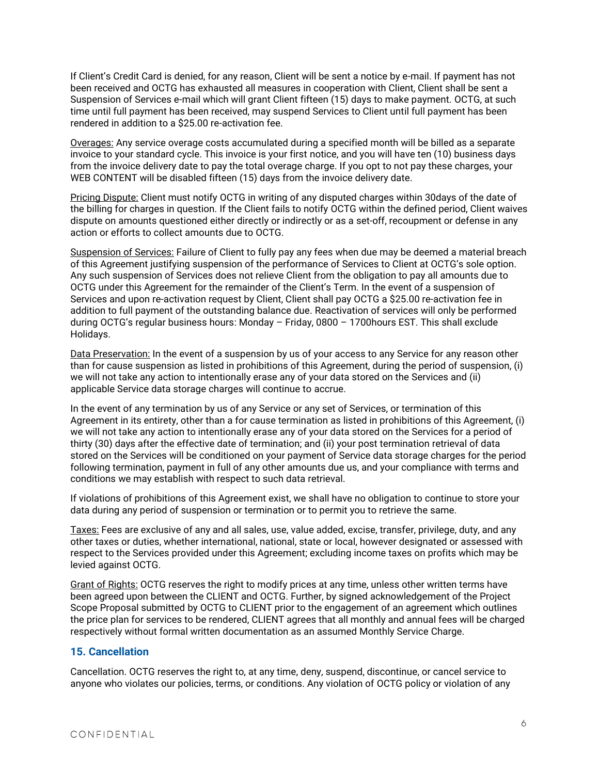If Client's Credit Card is denied, for any reason, Client will be sent a notice by e-mail. If payment has not been received and OCTG has exhausted all measures in cooperation with Client, Client shall be sent a Suspension of Services e-mail which will grant Client fifteen (15) days to make payment. OCTG, at such time until full payment has been received, may suspend Services to Client until full payment has been rendered in addition to a \$25.00 re-activation fee.

Overages: Any service overage costs accumulated during a specified month will be billed as a separate invoice to your standard cycle. This invoice is your first notice, and you will have ten (10) business days from the invoice delivery date to pay the total overage charge. If you opt to not pay these charges, your WEB CONTENT will be disabled fifteen (15) days from the invoice delivery date.

Pricing Dispute: Client must notify OCTG in writing of any disputed charges within 30days of the date of the billing for charges in question. If the Client fails to notify OCTG within the defined period, Client waives dispute on amounts questioned either directly or indirectly or as a set-off, recoupment or defense in any action or efforts to collect amounts due to OCTG.

Suspension of Services: Failure of Client to fully pay any fees when due may be deemed a material breach of this Agreement justifying suspension of the performance of Services to Client at OCTG's sole option. Any such suspension of Services does not relieve Client from the obligation to pay all amounts due to OCTG under this Agreement for the remainder of the Client's Term. In the event of a suspension of Services and upon re-activation request by Client, Client shall pay OCTG a \$25.00 re-activation fee in addition to full payment of the outstanding balance due. Reactivation of services will only be performed during OCTG's regular business hours: Monday – Friday, 0800 – 1700hours EST. This shall exclude Holidays.

Data Preservation: In the event of a suspension by us of your access to any Service for any reason other than for cause suspension as listed in prohibitions of this Agreement, during the period of suspension, (i) we will not take any action to intentionally erase any of your data stored on the Services and (ii) applicable Service data storage charges will continue to accrue.

In the event of any termination by us of any Service or any set of Services, or termination of this Agreement in its entirety, other than a for cause termination as listed in prohibitions of this Agreement, (i) we will not take any action to intentionally erase any of your data stored on the Services for a period of thirty (30) days after the effective date of termination; and (ii) your post termination retrieval of data stored on the Services will be conditioned on your payment of Service data storage charges for the period following termination, payment in full of any other amounts due us, and your compliance with terms and conditions we may establish with respect to such data retrieval.

If violations of prohibitions of this Agreement exist, we shall have no obligation to continue to store your data during any period of suspension or termination or to permit you to retrieve the same.

Taxes: Fees are exclusive of any and all sales, use, value added, excise, transfer, privilege, duty, and any other taxes or duties, whether international, national, state or local, however designated or assessed with respect to the Services provided under this Agreement; excluding income taxes on profits which may be levied against OCTG.

Grant of Rights: OCTG reserves the right to modify prices at any time, unless other written terms have been agreed upon between the CLIENT and OCTG. Further, by signed acknowledgement of the Project Scope Proposal submitted by OCTG to CLIENT prior to the engagement of an agreement which outlines the price plan for services to be rendered, CLIENT agrees that all monthly and annual fees will be charged respectively without formal written documentation as an assumed Monthly Service Charge.

## **15. Cancellation**

Cancellation. OCTG reserves the right to, at any time, deny, suspend, discontinue, or cancel service to anyone who violates our policies, terms, or conditions. Any violation of OCTG policy or violation of any